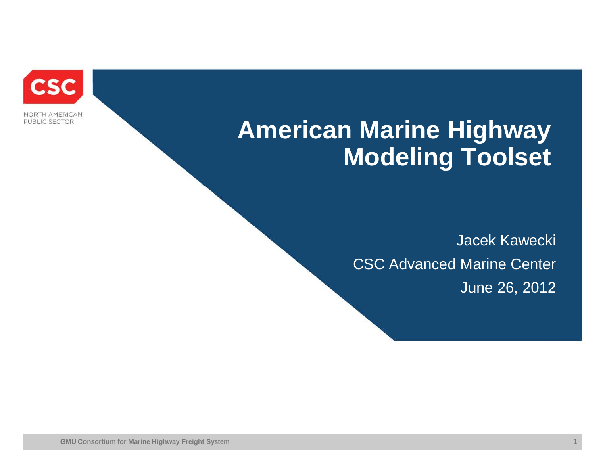

NORTH AMERICAN PUBLIC SECTOR

# **American Marine Highway Modeling Toolset**

Jacek Kawecki CSC Advanced Marine Center June 26, 2012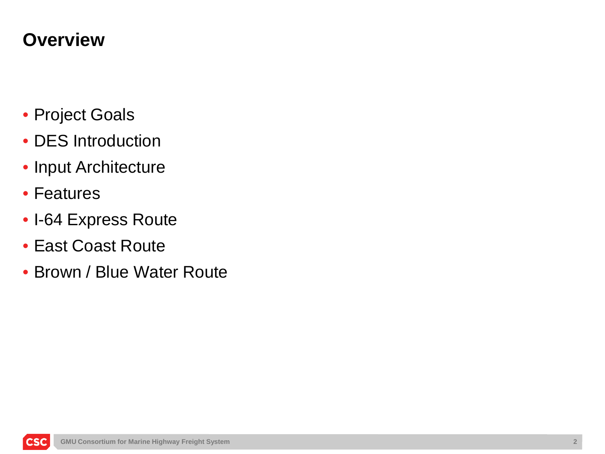### **Overview**

- Project Goals
- DES Introduction
- Input Architecture
- Features
- I-64 Express Route
- East Coast Route
- Brown / Blue Water Route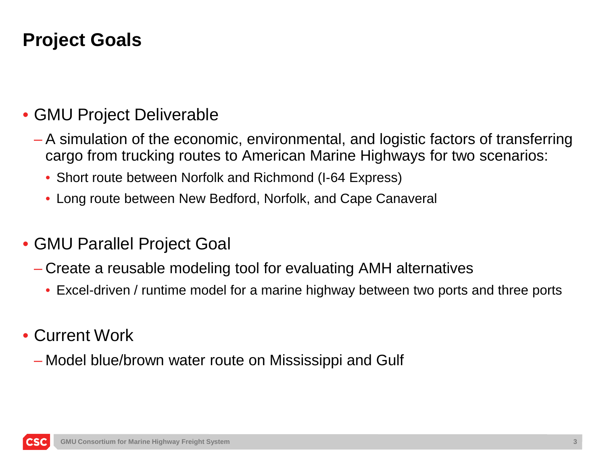## **Project Goals**

#### • GMU Project Deliverable

- A simulation of the economic, environmental, and logistic factors of transferring cargo from trucking routes to American Marine Highways for two scenarios:
	- Short route between Norfolk and Richmond (I-64 Express)
	- Long route between New Bedford, Norfolk, and Cape Canaveral

#### • GMU Parallel Project Goal

- Create a reusable modeling tool for evaluating AMH alternatives
	- Excel-driven / runtime model for a marine highway between two ports and three ports
- Current Work
	- Model blue/brown water route on Mississippi and Gulf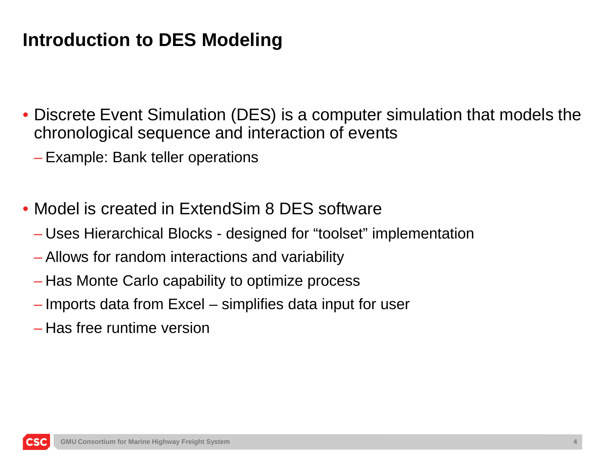## **Introduction to DES Modeling**

- Discrete Event Simulation (DES) is a computer simulation that models the chronological sequence and interaction of events
	- Example: Bank teller operations
- Model is created in ExtendSim 8 DES software
	- Uses Hierarchical Blocks designed for "toolset" implementation
	- Allows for random interactions and variability
	- Has Monte Carlo capability to optimize process
	- Imports data from Excel simplifies data input for user
	- Has free runtime version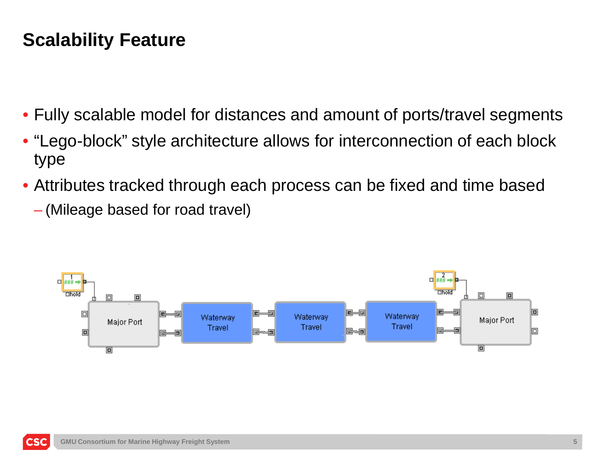### **Scalability Feature**

- Fully scalable model for distances and amount of ports/travel segments
- "Lego-block" style architecture allows for interconnection of each block type
- Attributes tracked through each process can be fixed and time based
	- (Mileage based for road travel)

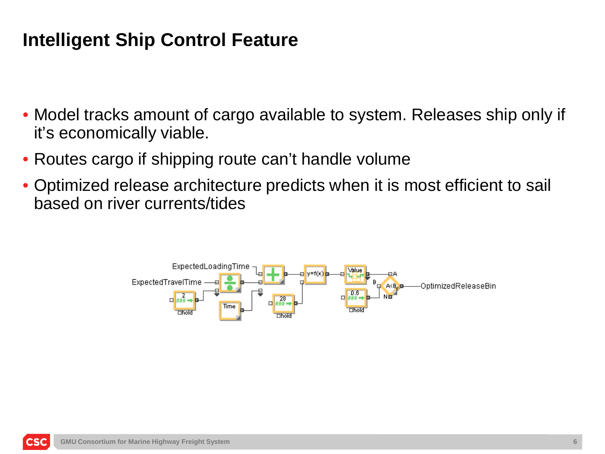### **Intelligent Ship Control Feature**

- Model tracks amount of cargo available to system. Releases ship only if it's economically viable.
- Routes cargo if shipping route can't handle volume
- Optimized release architecture predicts when it is most efficient to sail based on river currents/tides

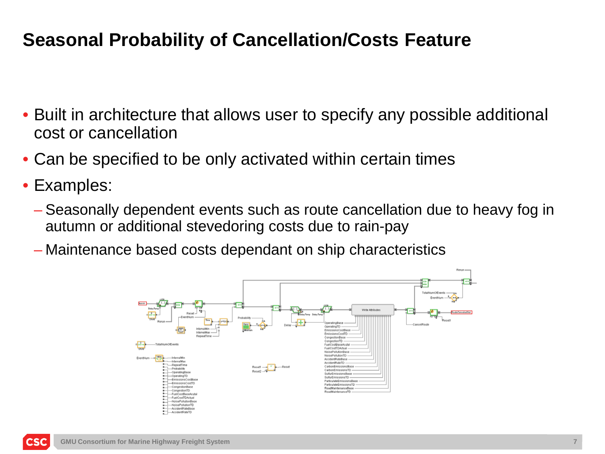### **Seasonal Probability of Cancellation/Costs Feature**

- Built in architecture that allows user to specify any possible additional cost or cancellation
- Can be specified to be only activated within certain times
- Examples:
	- Seasonally dependent events such as route cancellation due to heavy fog in autumn or additional stevedoring costs due to rain-pay
	- Maintenance based costs dependant on ship characteristics

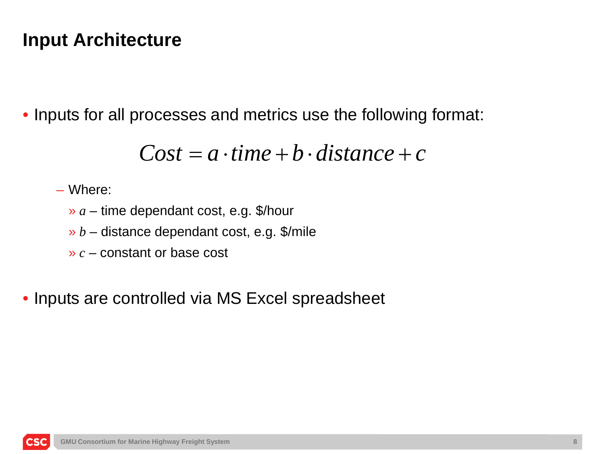### **Input Architecture**

• Inputs for all processes and metrics use the following format:

$$
Cost = a \cdot time + b \cdot distance + c
$$

– Where:

» *a* – time dependant cost, e.g. \$/hour

- » *b* distance dependant cost, e.g. \$/mile
- » *c* constant or base cost

• Inputs are controlled via MS Excel spreadsheet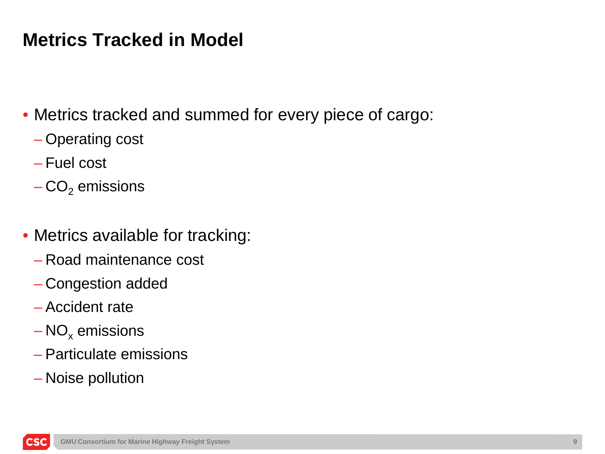## **Metrics Tracked in Model**

• Metrics tracked and summed for every piece of cargo:

- Operating cost
- Fuel cost
- $-CO<sub>2</sub>$  emissions
- Metrics available for tracking:
	- Road maintenance cost
	- Congestion added
	- Accident rate
	- $NO<sub>x</sub>$  emissions
	- Particulate emissions
	- Noise pollution

**CS**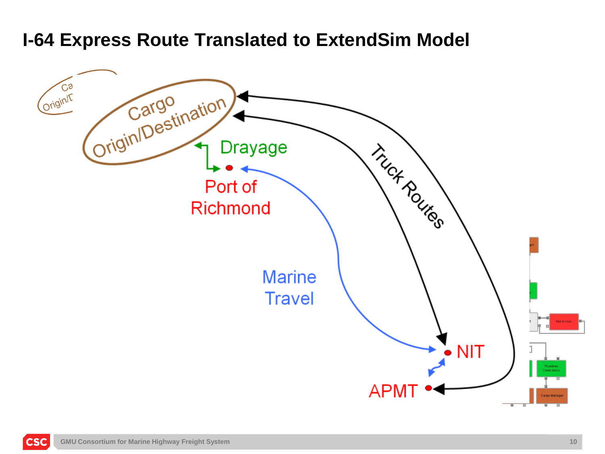#### **I-64 Express Route Translated to ExtendSim Model**



**CSC**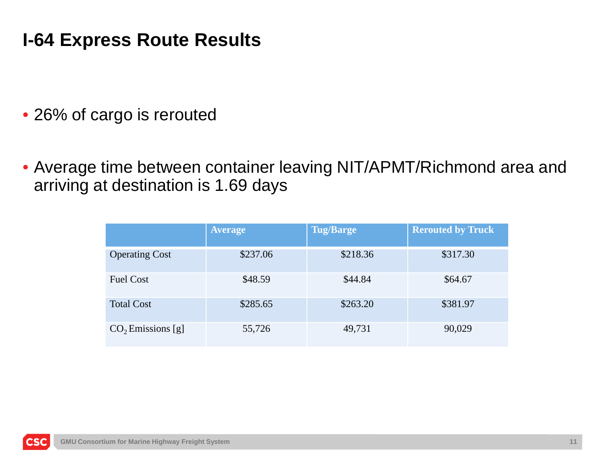### **I-64 Express Route Results**

• 26% of cargo is rerouted

• Average time between container leaving NIT/APMT/Richmond area and arriving at destination is 1.69 days

|                       | <b>Average</b> | <b>Tug/Barge</b> | <b>Rerouted by Truck</b> |
|-----------------------|----------------|------------------|--------------------------|
| <b>Operating Cost</b> | \$237.06       | \$218.36         | \$317.30                 |
| <b>Fuel Cost</b>      | \$48.59        | \$44.84          | \$64.67                  |
| <b>Total Cost</b>     | \$285.65       | \$263.20         | \$381.97                 |
| $CO2$ Emissions [g]   | 55,726         | 49,731           | 90,029                   |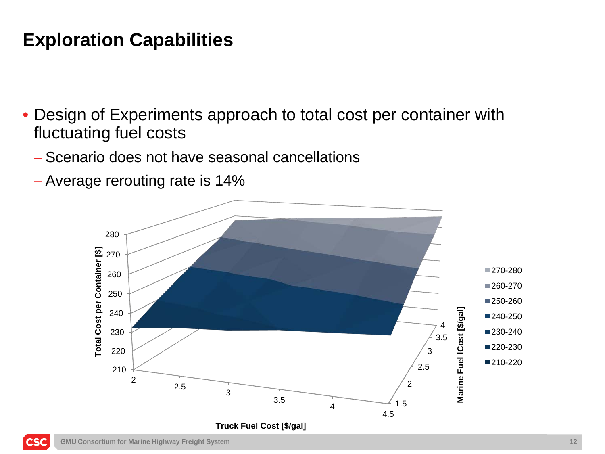### **Exploration Capabilities**

- Design of Experiments approach to total cost per container with fluctuating fuel costs
	- Scenario does not have seasonal cancellations
	- Average rerouting rate is 14%



**CSC**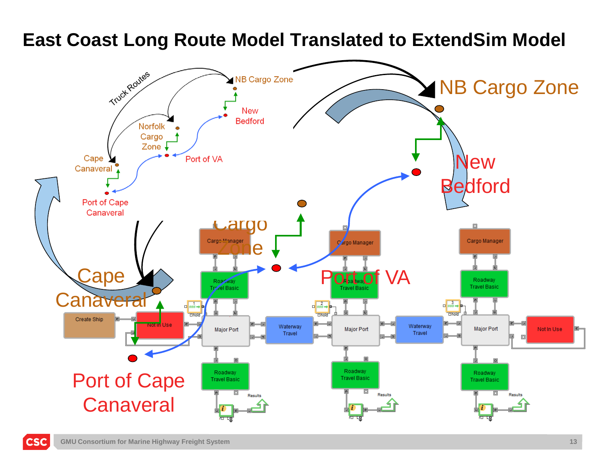**East Coast Long Route Model Translated to ExtendSim Model**



**CSC**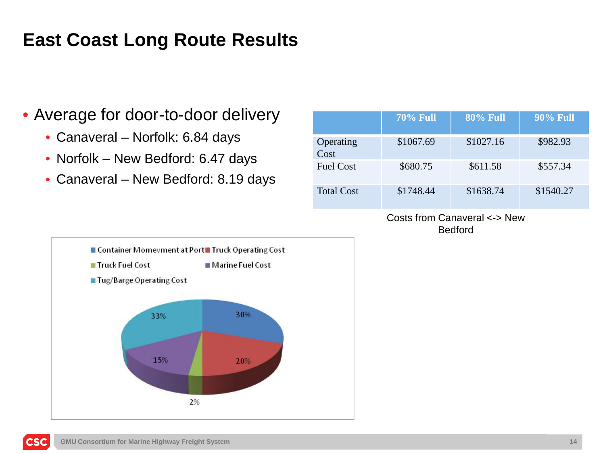## **East Coast Long Route Results**

#### • Average for door-to-door delivery

- Canaveral Norfolk: 6.84 days
- Norfolk New Bedford: 6.47 days
- Canaveral New Bedford: 8.19 days

|                   | <b>70% Full</b> | <b>80% Full</b> | <b>90% Full</b> |
|-------------------|-----------------|-----------------|-----------------|
| Operating<br>Cost | \$1067.69       | \$1027.16       | \$982.93        |
| <b>Fuel Cost</b>  | \$680.75        | \$611.58        | \$557.34        |
| <b>Total Cost</b> | \$1748.44       | \$1638.74       | \$1540.27       |

Costs from Canaveral <-> New Bedford

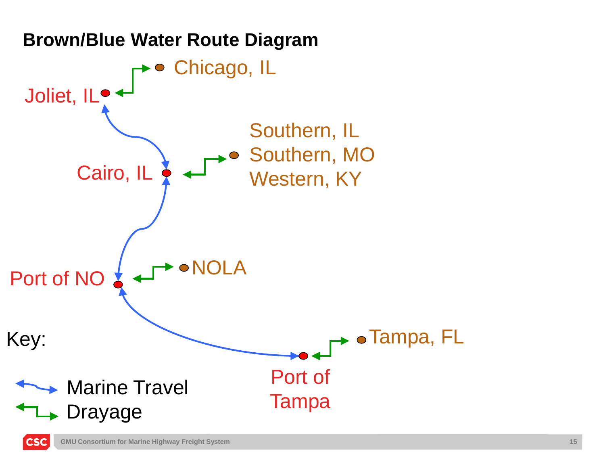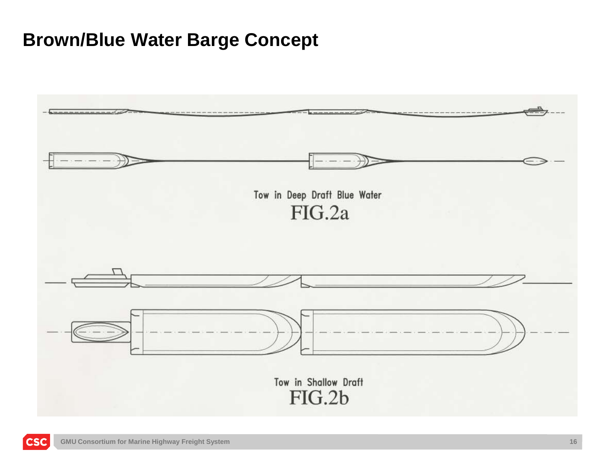#### **Brown/Blue Water Barge Concept**

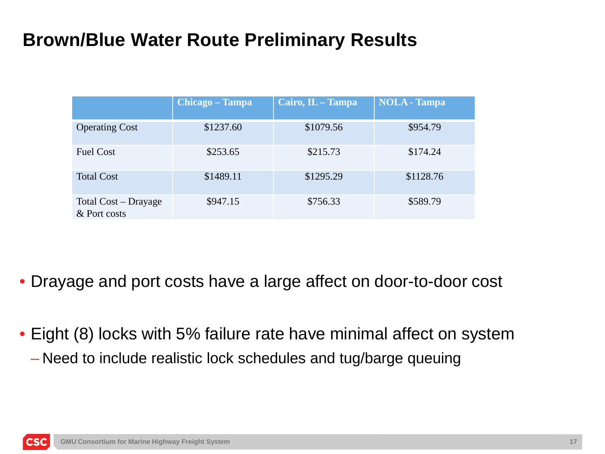## **Brown/Blue Water Route Preliminary Results**

|                                      | Chicago - Tampa | Cairo, IL - Tampa | <b>NOLA</b> - Tampa |
|--------------------------------------|-----------------|-------------------|---------------------|
| <b>Operating Cost</b>                | \$1237.60       | \$1079.56         | \$954.79            |
| <b>Fuel Cost</b>                     | \$253.65        | \$215.73          | \$174.24            |
| <b>Total Cost</b>                    | \$1489.11       | \$1295.29         | \$1128.76           |
| Total Cost – Drayage<br>& Port costs | \$947.15        | \$756.33          | \$589.79            |

- Drayage and port costs have a large affect on door-to-door cost
- Eight (8) locks with 5% failure rate have minimal affect on system – Need to include realistic lock schedules and tug/barge queuing

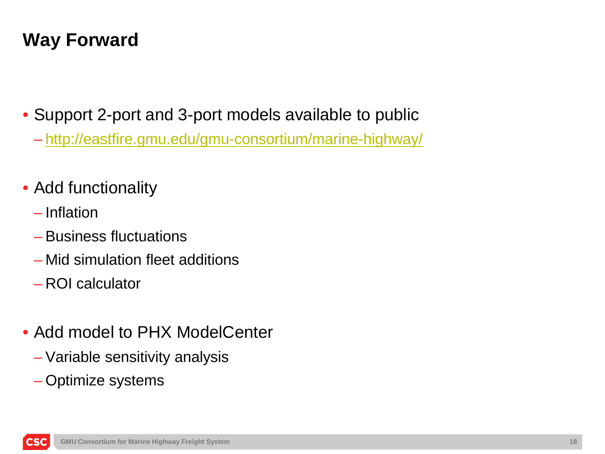## **Way Forward**

• Support 2-port and 3-port models available to public

– <http://eastfire.gmu.edu/gmu-consortium/marine-highway/>

### • Add functionality

- Inflation
- Business fluctuations
- Mid simulation fleet additions
- ROI calculator
- Add model to PHX ModelCenter
	- Variable sensitivity analysis
	- Optimize systems

**CS**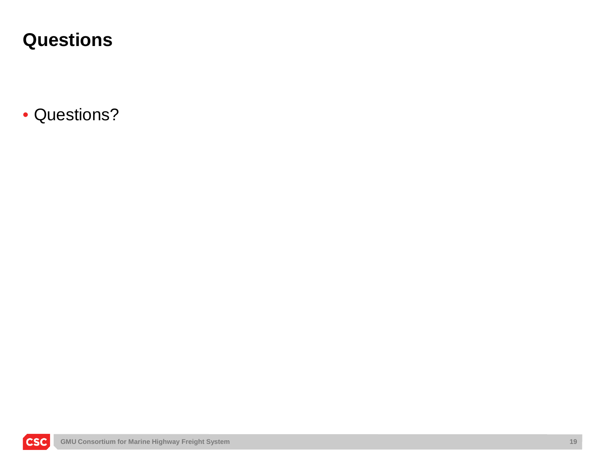### **Questions**

• Questions?

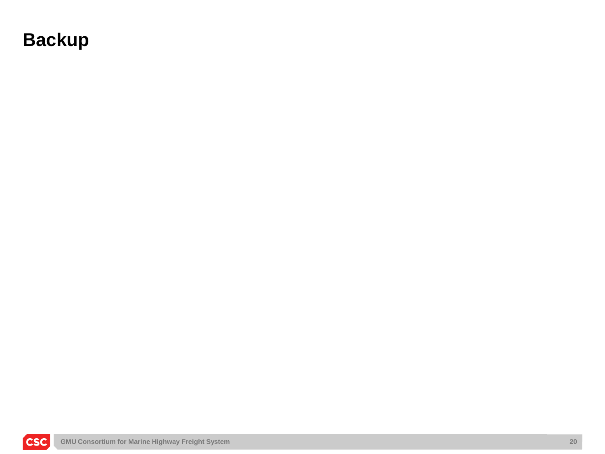### **Backup**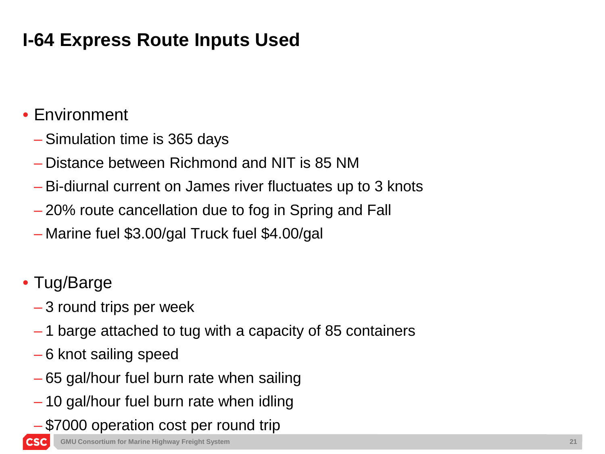## **I-64 Express Route Inputs Used**

#### • Environment

- Simulation time is 365 days
- Distance between Richmond and NIT is 85 NM
- Bi-diurnal current on James river fluctuates up to 3 knots
- 20% route cancellation due to fog in Spring and Fall
- Marine fuel \$3.00/gal Truck fuel \$4.00/gal
- Tug/Barge
	- 3 round trips per week
	- 1 barge attached to tug with a capacity of 85 containers
	- 6 knot sailing speed
	- 65 gal/hour fuel burn rate when sailing
	- 10 gal/hour fuel burn rate when idling
	- \$7000 operation cost per round trip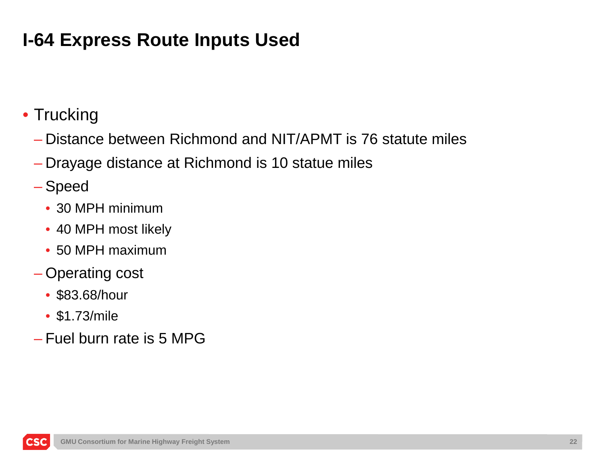## **I-64 Express Route Inputs Used**

- Trucking
	- Distance between Richmond and NIT/APMT is 76 statute miles
	- Drayage distance at Richmond is 10 statue miles
	- Speed
		- 30 MPH minimum
		- 40 MPH most likely
		- 50 MPH maximum
	- Operating cost
		- \$83.68/hour
		- \$1.73/mile

**CS** 

– Fuel burn rate is 5 MPG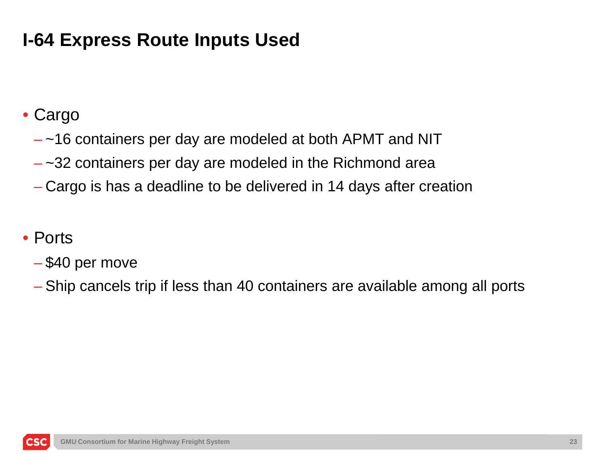## **I-64 Express Route Inputs Used**

### • Cargo

- ~16 containers per day are modeled at both APMT and NIT
- $-$  ~32 containers per day are modeled in the Richmond area
- Cargo is has a deadline to be delivered in 14 days after creation

#### • Ports

- \$40 per move
- Ship cancels trip if less than 40 containers are available among all ports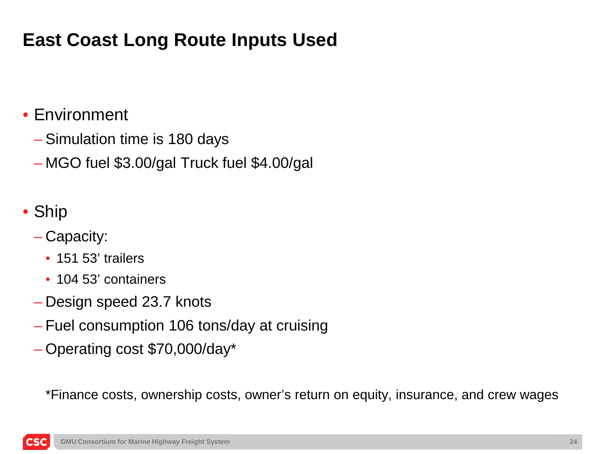## **East Coast Long Route Inputs Used**

### • Environment

- Simulation time is 180 days
- MGO fuel \$3.00/gal Truck fuel \$4.00/gal
- Ship

**CS** 

- Capacity:
	- 151 53' trailers
	- 104 53' containers
- Design speed 23.7 knots
- Fuel consumption 106 tons/day at cruising
- Operating cost \$70,000/day\*

\*Finance costs, ownership costs, owner's return on equity, insurance, and crew wages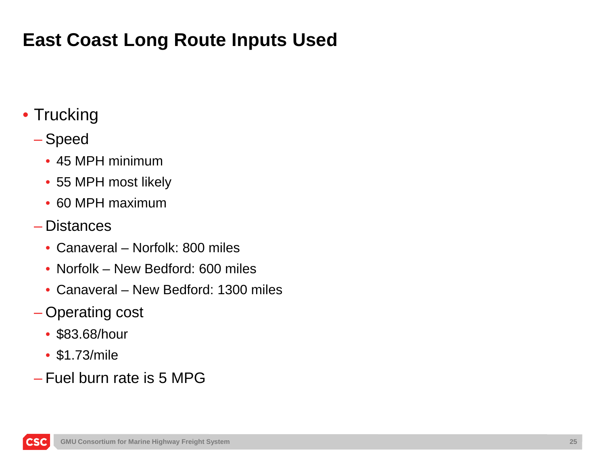## **East Coast Long Route Inputs Used**

### • Trucking

#### – Speed

- 45 MPH minimum
- 55 MPH most likely
- 60 MPH maximum
- Distances
	- Canaveral Norfolk: 800 miles
	- Norfolk New Bedford: 600 miles
	- Canaveral New Bedford: 1300 miles
- Operating cost
	- \$83.68/hour
	- \$1.73/mile

**CS** 

– Fuel burn rate is 5 MPG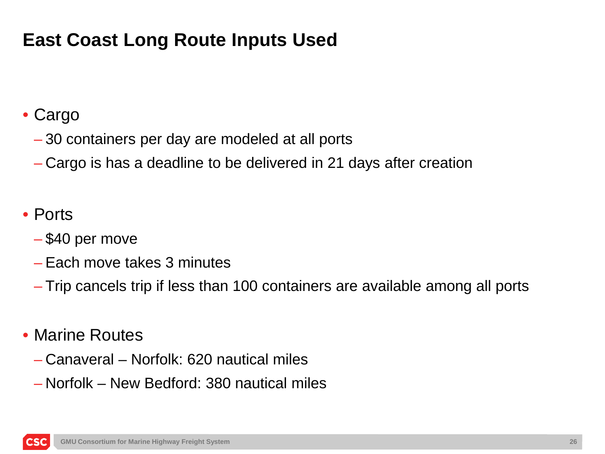## **East Coast Long Route Inputs Used**

### • Cargo

- 30 containers per day are modeled at all ports
- Cargo is has a deadline to be delivered in 21 days after creation

#### • Ports

- \$40 per move
- Each move takes 3 minutes
- Trip cancels trip if less than 100 containers are available among all ports

#### • Marine Routes

- Canaveral Norfolk: 620 nautical miles
- Norfolk New Bedford: 380 nautical miles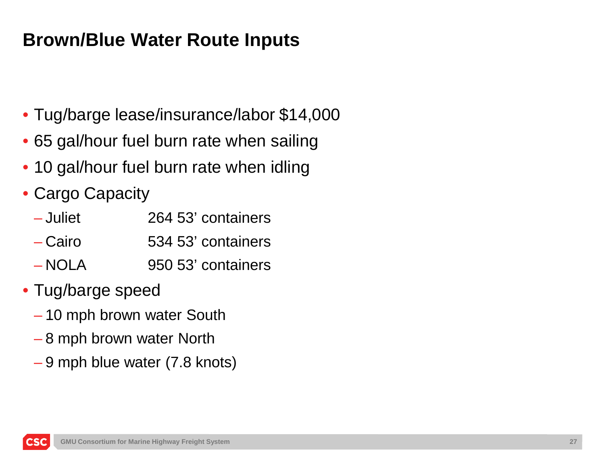- Tug/barge lease/insurance/labor \$14,000
- 65 gal/hour fuel burn rate when sailing
- 10 gal/hour fuel burn rate when idling
- Cargo Capacity
	- Juliet 264 53' containers
	- Cairo 534 53' containers
	- NOLA 950 53' containers
- Tug/barge speed
	- 10 mph brown water South
	- 8 mph brown water North
	- 9 mph blue water (7.8 knots)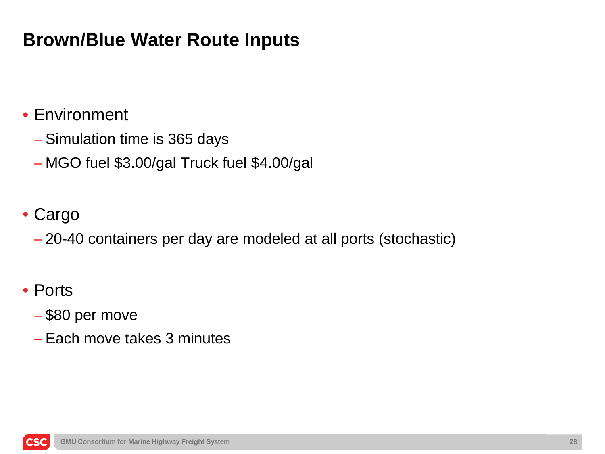### • Environment

- Simulation time is 365 days
- MGO fuel \$3.00/gal Truck fuel \$4.00/gal

#### • Cargo

– 20-40 containers per day are modeled at all ports (stochastic)

#### • Ports

CS<sub>0</sub>

#### – \$80 per move

– Each move takes 3 minutes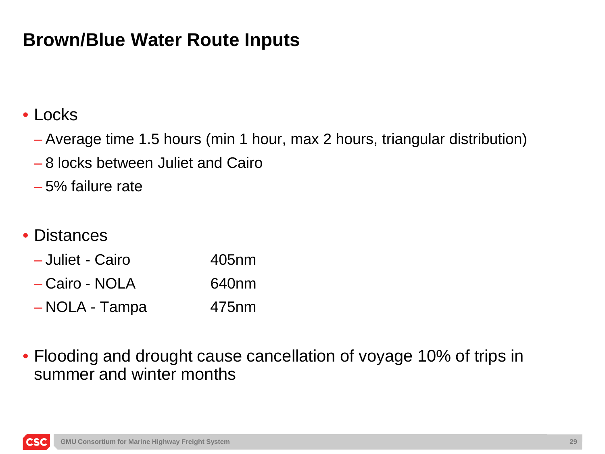#### • Locks

- Average time 1.5 hours (min 1 hour, max 2 hours, triangular distribution)
- 8 locks between Juliet and Cairo
- 5% failure rate

#### • Distances

| - Juliet - Cairo | 405 <sub>nm</sub> |
|------------------|-------------------|
| - Cairo - NOLA   | 640 <sub>nm</sub> |
| -NOLA - Tampa    | 475 <sub>nm</sub> |

• Flooding and drought cause cancellation of voyage 10% of trips in summer and winter months